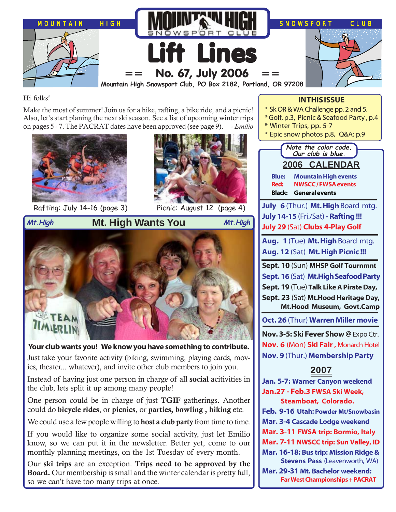

Hi folks!

Make the most of summer! Join us for a hike, rafting, a bike ride, and a picnic! Also, let's start planing the next ski season. See a list of upcoming winter trips on pages 5 - 7. The PACRAT dates have been approved (see page 9). - *Emilio*



Rafting: July 14-16 (page 3) Picnic: August 12 (page 4)





**Mt. High Wants You Mt.High Mt.High**



**Your club wants you! We know you have something to contribute.** Just take your favorite activity (biking, swimming, playing cards, movies, theater... whatever), and invite other club members to join you.

Instead of having just one person in charge of all **social** acitivities in the club, lets split it up among many people!

One person could be in charge of just **TGIF** gatherings. Another could do **bicycle rides**, or **picnics**, or **parties, bowling , hiking** etc.

We could use a few people willing to **host a club party** from time to time.

If you would like to organize some social activity, just let Emilio know, so we can put it in the newsletter. Better yet, come to our monthly planning meetings, on the 1st Tuesday of every month.

Our **ski trips** are an exception. **Trips need to be approved by the Board.** Our membership is small and the winter calendar is pretty full, so we can't have too many trips at once.

## **IN THIS ISSUE**

- \* Sk OR & WA Challenge pp. 2 and 5.
- \* Golf, p.3, Picnic & Seafood Party , p.4
- \* Winter Trips, pp. 5-7
- \* Epic snow photos p.8, Q&A: p.9

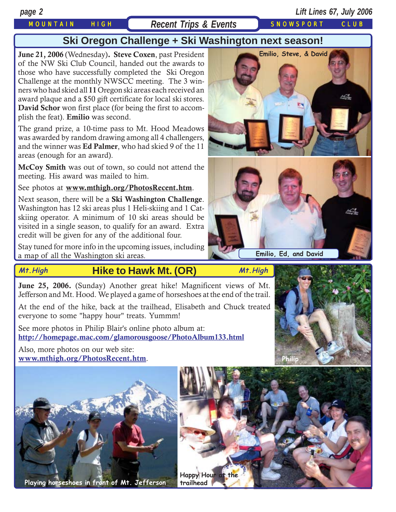# MOUNTAIN HIGH Recent Trips & Events SNOWSPORT CLUB

# **Ski Oregon Challenge + Ski Washington next season!**

**June 21, 2006** (Wednesday)**. Steve Coxen**, past President of the NW Ski Club Council, handed out the awards to those who have successfully completed the Ski Oregon Challenge at the monthly NWSCC meeting. The 3 winners who had skied all **11** Oregon ski areas each received an award plaque and a \$50 gift certificate for local ski stores. **David Schor** won first place (for being the first to accomplish the feat). **Emilio** was second.

The grand prize, a 10-time pass to Mt. Hood Meadows was awarded by random drawing among all 4 challengers, and the winner was **Ed Palmer**, who had skied 9 of the 11 areas (enough for an award).

**McCoy Smith** was out of town, so could not attend the meeting. His award was mailed to him.

See photos at **[www.mthigh.org/PhotosRecent.htm](http://www.mthigh.org/PhotosRecent.htm)**.

Next season, there will be a **Ski Washington Challenge**. Washington has 12 ski areas plus 1 Heli-skiing and 1 Catskiing operator. A minimum of 10 ski areas should be visited in a single season, to qualify for an award. Extra credit will be given for any of the additional four.

Stay tuned for more info in the upcoming issues, including a map of all the Washington ski areas.

# **Mt.High Mt.High Hike to Hawk Mt. (OR)**

**June 25, 2006.** (Sunday) Another great hike! Magnificent views of Mt. Jefferson and Mt. Hood. We played a game of horseshoes at the end of the trail.

At the end of the hike, back at the trailhead, Elisabeth and Chuck treated everyone to some "happy hour" treats. Yummm!

See more photos in Philip Blair's online photo album at: **<http://homepage.mac.com/glamorousgoose/PhotoAlbum133.html>**

Also, more photos on our web site: **[www.mthigh.org/PhotosRecent.htm](http://www.mthigh.org/PhotosRecent.htm)**.



**Playing horseshoes in front of Mt. Jefferson trailhead**





**Emilio, Ed, and David**



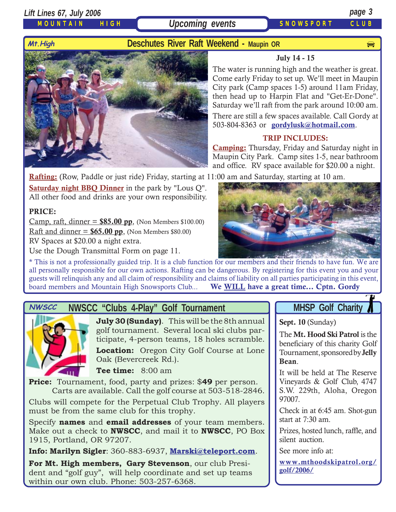## *Lift Lines 67, July 2006 page 3*

## MOUNTAIN HIGH



**Upcoming events** SNOWSPORT CLUB



The water is running high and the weather is great. Come early Friday to set up. We'll meet in Maupin City park (Camp spaces 1-5) around 11am Friday, then head up to Harpin Flat and "Get-Er-Done". Saturday we'll raft from the park around 10:00 am. There are still a few spaces available. Call Gordy at 503-804-8363 or **[gordylusk@hotmail.com](mailto:gordylusk@hotmail.com)**.

**July 14 - 15**

## **TRIP INCLUDES:**

**Camping:** Thursday, Friday and Saturday night in Maupin City Park. Camp sites 1-5, near bathroom and office. RV space available for \$20.00 a night.

**Rafting:** (Row, Paddle or just ride) Friday, starting at 11:00 am and Saturday, starting at 10 am.

**Saturday night BBQ Dinner** in the park by "Lous Q". All other food and drinks are your own responsibility.

## **PRICE:**

Camp, raft, dinner =  $$85.00$  pp, (Non Members \$100.00) Raft and dinner =  $$65.00$  pp, (Non Members  $$80.00$ ) RV Spaces at \$20.00 a night extra.

Use the Dough Transmittal Form on page 11.

\* This is not a professionally guided trip. It is a club function for our members and their friends to have fun. We are all personally responsible for our own actions. Rafting can be dangerous. By registering for this event you and your guests will relinquish any and all claim of responsibility and claims of liability on all parties participating in this event, board members and Mountain High Snowsports Club... **We WILL have a great time... Cptn. Gordy**

# **NWSCC "Clubs 4-Play" Golf Tournament NHSP Golf Charity**



**July 30 (Sunday)**. This will be the 8th annual golf tournament. Several local ski clubs participate, 4-person teams, 18 holes scramble. **Location:** Oregon City Golf Course at Lone Oak (Bevercreek Rd.).

**Tee time:** 8:00 am

**Price:** Tournament, food, party and prizes: \$**49** per person. Carts are available. Call the golf course at 503-518-2846.

Clubs will compete for the Perpetual Club Trophy. All players must be from the same club for this trophy.

Specify **names** and **email addresses** of your team members. Make out a check to **NWSCC**, and mail it to **NWSCC**, PO Box 1915, Portland, OR 97207.

**Info: Marilyn Sigler**: 360-883-6937, **[Marski@teleport.com](mailto:marski@teleport.com)**.

**For Mt. High members, Gary Stevenson**, our club President and "golf guy", will help coordinate and set up teams within our own club. Phone: 503-257-6368.

**Sept. 10** (Sunday)

The **Mt. Hood Ski Patrol** is the beneficiary of this charity Golf Tournament, sponsored by **Jelly Bean**.

It will be held at The Reserve Vineyards & Golf Club, 4747 S.W. 229th, Aloha, Oregon 97007.

Check in at 6:45 am. Shot-gun start at 7:30 am.

Prizes, hosted lunch, raffle, and silent auction.

See more info at:

**[www.mthoodskipatrol.org/](http://www.mthoodskipatrol.org/golf/2006/) [golf/2006/](http://www.mthoodskipatrol.org/golf/2006/)**

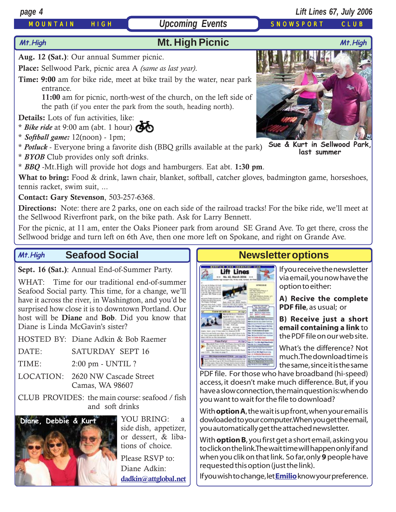## MOUNTAIN HIGH ( Upcoming Events ) SNOWSPORT CLUB

# *page 4 Lift Lines 67, July 2006*

# **Mt. High Picnic Mt.High Mt.High**

**Aug. 12 (Sat.)**: Our annual Summer picnic.

**Place:** Sellwood Park, picnic area A *(same as last year)*.

**Time: 9:00** am for bike ride, meet at bike trail by the water, near park entrance.

 **11:00** am for picnic, north-west of the church, on the left side of the path (if you enter the park from the south, heading north).

**Details:** Lots of fun activities, like:

- \* *Bike ride* at 9:00 am (abt. 1 hour) eto<br>Go
- \* *Softball game:* 12(noon) 1pm;

\* *Potluck* - Everyone bring a favorite dish (BBQ grills available at the park) **Sue & Kurt in Sellwood Park, last summer**

\* *BYOB* Club provides only soft drinks.

\* *BBQ* -Mt.High will provide hot dogs and hamburgers. Eat abt. **1:30 pm**.

**What to bring:** Food & drink, lawn chair, blanket, softball, catcher gloves, badmington game, horseshoes, tennis racket, swim suit, ...

**Contact: Gary Stevenson**, 503-257-6368.

**Directions:** Note: there are 2 parks, one on each side of the railroad tracks! For the bike ride, we'll meet at the Sellwood Riverfront park, on the bike path. Ask for Larry Bennett.

For the picnic, at 11 am, enter the Oaks Pioneer park from around SE Grand Ave. To get there, cross the Sellwood bridge and turn left on 6th Ave, then one more left on Spokane, and right on Grande Ave.

Lift Lines

### **Seafood Social Mt.High**

**Sept. 16 (Sat.)**: Annual End-of-Summer Party.

WHAT: Time for our traditional end-of-summer Seafood Social party. This time, for a change, we'll have it across the river, in Washington, and you'd be surprised how close it is to downtown Portland. Our host will be **Diane** and **Bob**. Did you know that Diane is Linda McGavin's sister?

HOSTED BY: Diane Adkin & Bob Raemer

DATE: SATURDAY SEPT 16

TIME: 2:00 pm - UNTIL ?

LOCATION: 2620 NW Cascade Street Camas, WA 98607

CLUB PROVIDES: the main course: seafood / fish and soft drinks



YOU BRING: a side dish, appetizer, or dessert, & libations of choice. Please RSVP to: Diane Adkin:

**[dadkin@attglobal.net](mailto:dadkin@attglobal.net)**

# **Newsletter options**

If you receive the newsletter via email, you now have the option to either:

**A) Recive the complete PDF file**, as usual; or

**B) Receive just a short email containing a link** to the PDF file on our web site.

What's the difference? Not much. The download time is the same, since it is the same

PDF file. For those who have broadband (hi-speed) access, it doesn't make much difference. But, if you have a slow connection, the main question is: when do you want to wait for the file to download?

With **option A**, the wait is up front, when your email is dowloaded to your computer. When you get the email, you automatically get the attached newsletter.

With **option B**, you first get a short email, asking you to click on the link. The wait time will happen only if and when you clik on that link. So far, only **9** people have requested this option (just the link).

If you wish to change, let **[Emilio](mailto:Emilio2000@earthlink.net)** know your preference.

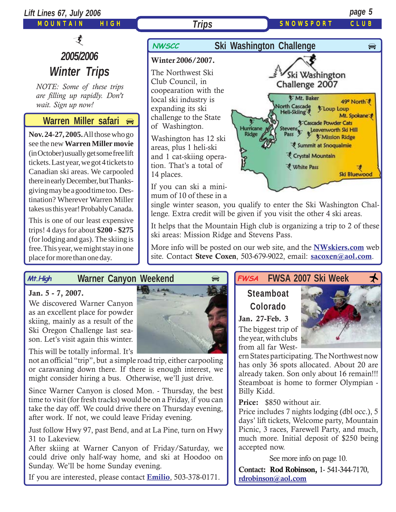

More info will be posted on our web site, and the **[NWskiers.com](http://www.nwskiers.org/)** web site. Contact **Steve Coxen**, 503-679-9022, email: **[sacoxen@aol.com](mailto:sacoxen@aol.com)**.

### **Warner Canyon Weekend Mt.High**

## **Jan. 5 - 7, 2007.**

We discovered Warner Canyon as an excellent place for powder skiing, mainly as a result of the Ski Oregon Challenge last season. Let's visit again this winter.

free. This year, we might stay in one

place for more than one day.

This will be totally informal. It's

not an official "trip", but a simple road trip, either carpooling or caravaning down there. If there is enough interest, we might consider hiring a bus. Otherwise, we'll just drive.

Since Warner Canyon is closed Mon. - Thursday, the best time to visit (for fresh tracks) would be on a Friday, if you can take the day off. We could drive there on Thursday evening, after work. If not, we could leave Friday evening.

Just follow Hwy 97, past Bend, and at La Pine, turn on Hwy 31 to Lakeview.

After skiing at Warner Canyon of Friday/Saturday, we could drive only half-way home, and ski at Hoodoo on Sunday. We'll be home Sunday evening.

If you are interested, please contact **[Emilio](mailto:Emilio2000@earthlink.net)**, 503-378-0171.

### **FWSA FWSA 2007 Ski Week**  $\star$ **FWSA**

# **Steamboat Colorado**

**Jan. 27-Feb. 3** The biggest trip of the year, with clubs from all far West-

ern States participating. The Northwest now has only 36 spots allocated. About 20 are already taken. Son only about 16 remain!!! Steamboat is home to former Olympian - Billy Kidd.

**Price:** \$850 without air.

Price includes 7 nights lodging (dbl occ.), 5 days' lift tickets, Welcome party, Mountain Picnic, 3 races, Farewell Party, and much, much more. Initial deposit of \$250 being accepted now.

See more info on page 10.

**Contact: Rod Robinson,** 1- 541-344-7170, **[rdrobinson@aol.com](mailto:rdrobinson@aol.com)**

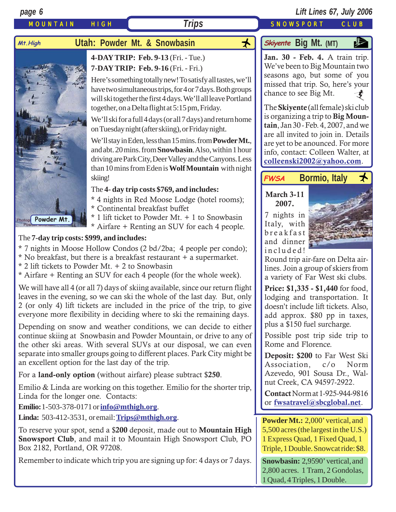

- \* No breakfast, but there is a breakfast restaurant + a supermarket.
- \* 2 lift tickets to Powder Mt. + 2 to Snowbasin
- \* Airfare + Renting an SUV for each 4 people (for the whole week).

We will have all 4 (or all 7) days of skiing available, since our return flight leaves in the evening, so we can ski the whole of the last day. But, only 2 (or only 4) lift tickets are included in the price of the trip, to give everyone more flexibility in deciding where to ski the remaining days.

Depending on snow and weather conditions, we can decide to either continue skiing at Snowbasin and Powder Mountain, or drive to any of the other ski areas. With several SUVs at our disposal, we can even separate into smaller groups going to different places. Park City might be an excellent option for the last day of the trip.

For a **land-only option** (without airfare) please subtract \$**250**.

Emilio & Linda are working on this together. Emilio for the shorter trip, Linda for the longer one. Contacts:

**Emilio:**1-503-378-0171 or **[info@mthigh.org](mailto:info@mthigh.org)**.

**Linda:** 503-412-3531, or email: **[Trips@mthigh.org](mailto:Trips@mthigh.org)**.

To reserve your spot, send a \$**200** deposit, made out to **Mountain High Snowsport Club**, and mail it to Mountain High Snowsport Club, PO Box 2182, Portland, OR 97208.

Remember to indicate which trip you are signing up for: 4 days or 7 days.

included!



Round trip air-fare on Delta airlines. Join a group of skiers from a variety of Far West ski clubs.

**Price: \$1,335 - \$1,440** for food, lodging and transportation. It doesn't include lift tickets. Also, add approx. \$80 pp in taxes, plus a \$150 fuel surcharge.

Possible post trip side trip to Rome and Florence.

**Deposit: \$200** to Far West Ski Association, c/o Norm Azevedo, 901 Sousa Dr., Walnut Creek, CA 94597-2922.

**Contact** Norm at 1-925-944-9816 or **[fwsatravel@sbcglobal.net](mailto:fwsatravel@sbcglobal.net)**.

**Powder Mt.:** 2,000' vertical, and 5,500 acres (the largest in the U.S.) 1 Express Quad, 1 Fixed Quad, 1 Triple, 1 Double. Snowcat ride: \$8.

**Snowbasin:** 2,9590' vertical, and 2,800 acres. 1 Tram, 2 Gondolas, 1 Quad, 4 Triples, 1 Double.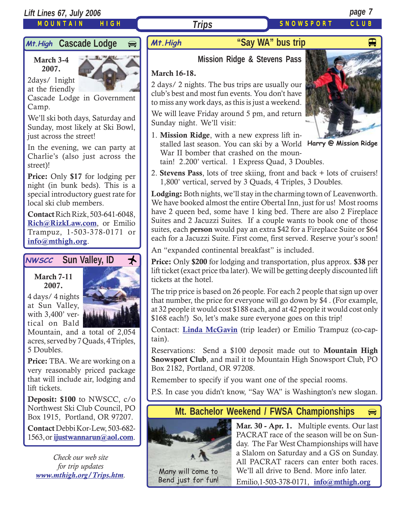## *Lift Lines 67, July 2006 page 7*

## MOUNTAIN HIGH

Mt. High **Cascade Lodge** 

**March 3-4 2007.**

2days/ 1night at the friendly



Cascade Lodge in Government Camp.

We'll ski both days, Saturday and Sunday, most likely at Ski Bowl, just across the street!

In the evening, we can party at Charlie's (also just across the street)!

**Price:** Only **\$17** for lodging per night (in bunk beds). This is a special introductory guest rate for local ski club members.

**Contact** Rich Rizk, 503-641-6048, **[Rich@RizkLaw.com](mailto:Rich@RizkLaw.com)**, or Emilio Trampuz, 1-503-378-0171 or **[info@mthigh.org](mailto:info@mthigh.org)**.

# **NWSCC** Sun Valley, ID <del>人</del>

### **March 7-11 2007.**

4 days/ 4 nights at Sun Valley, with 3,400' vertical on Bald



Mountain, and a total of 2,054 acres, served by 7 Quads, 4 Triples, 5 Doubles.

**Price:** TBA. We are working on a very reasonably priced package that will include air, lodging and lift tickets.

**Deposit: \$100** to NWSCC, c/o Northwest Ski Club Council, PO Box 1915, Portland, OR 97207.

**Contact** Debbi Kor-Lew, 503-682- 1563, or **[ijustwannarun@aol.com](mailto:Ijustwannarun@aol.com)**.

*Check our web site for trip updates [www.mthigh.org/Trips.htm](http://www.mthigh.org/Trips.htm).* Many will come to

# **"Say WA" bus trip** And Alleman Wand Alleman Alleman Alleman Alleman Alleman Alleman Alleman Alleman Alleman Al

# **Mission Ridge & Stevens Pass**

## **March 16-18.**

2 days/ 2 nights. The bus trips are usually our club's best and most fun events. You don't have to miss any work days, as this is just a weekend.

*Trips*

We will leave Friday around 5 pm, and return Sunday night. We'll visit:

1. **Mission Ridge**, with a new express lift installed last season. You can ski by a World **Harry @ Mission Ridge** War II bomber that crashed on the mountain! 2.200' vertical. 1 Express Quad, 3 Doubles.



2. **Stevens Pass**, lots of tree skiing, front and back + lots of cruisers! 1,800' vertical, served by 3 Quads, 4 Triples, 3 Doubles.

**Lodging:** Both nights, we'll stay in the charming town of Leavenworth. We have booked almost the entire Obertal Inn, just for us! Most rooms have 2 queen bed, some have 1 king bed. There are also 2 Fireplace Suites and 2 Jacuzzi Suites. If a couple wants to book one of those suites, each **person** would pay an extra \$42 for a Fireplace Suite or \$64 each for a Jacuzzi Suite. First come, first served. Reserve your's soon!

An "expanded continental breakfast" is included.

**Price:** Only **\$200** for lodging and transportation, plus approx. **\$38** per lift ticket (exact price tba later). We will be getting deeply discounted lift tickets at the hotel.

The trip price is based on 26 people. For each 2 people that sign up over that number, the price for everyone will go down by \$4 . (For example, at 32 people it would cost \$188 each, and at 42 people it would cost only \$168 each!) So, let's make sure everyone goes on this trip!

Contact: **[Linda McGavin](mailto:Trips@mthigh.org)** (trip leader) or Emilio Trampuz (co-captain).

Reservations: Send a \$100 deposit made out to **Mountain High Snowsport Club**, and mail it to Mountain High Snowsport Club, PO Box 2182, Portland, OR 97208.

Remember to specify if you want one of the special rooms.

P.S. In case you didn't know, "Say WA" is Washington's new slogan.

# **Mt. Bachelor Weekend / FWSA Championships**



Bend just for fun!

**Mar. 30 - Apr. 1.** Multiple events. Our last PACRAT race of the season will be on Sunday. The Far West Championships will have a Slalom on Saturday and a GS on Sunday. All PACRAT racers can enter both races. We'll all drive to Bend. More info later. Emilio,1-503-378-0171, **[info@mthigh.org](mailto:info@mthigh.org)**

 $\qquad \qquad \Longleftrightarrow$ 

SNOWSPORT CLUB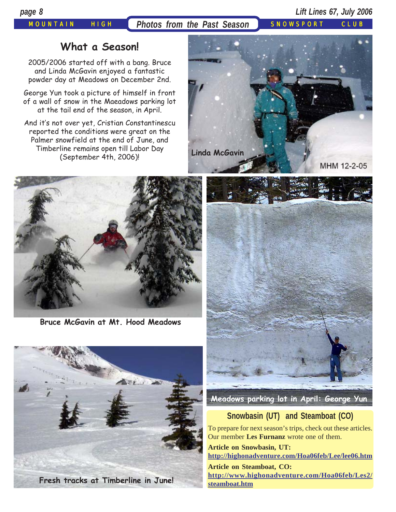*page 8 Lift Lines 67, July 2006*

# **What a Season!**

2005/2006 started off with a bang. Bruce and Linda McGavin enjoyed a fantastic powder day at Meadows on December 2nd.

George Yun took a picture of himself in front of a wall of snow in the Maeadows parking lot at the tail end of the season, in April.

And it's not over yet, Cristian Constantinescu reported the conditions were great on the Palmer snowfield at the end of June, and Timberline remains open till Labor Day (September 4th, 2006)!



**Bruce McGavin at Mt. Hood Meadows**







**Meadows parking lot in April: George Yun**

# **Snowbasin (UT) and Steamboat (CO)**

To prepare for next season's trips, check out these articles. Our member **Les Furnanz** wrote one of them.

**Article on Snowbasin, UT: http://highonadventure.com/Hoa06feb/Lee/lee06.htm**

**Article on Steamboat, CO: http://www.highonadventure.com/Hoa06feb/Les2/ steamboat.htm**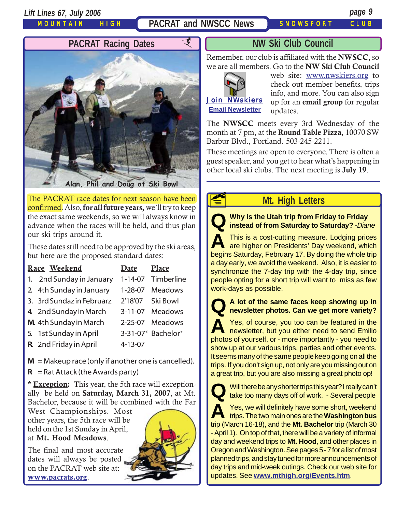*Lift Lines 67, July 2006 page 9*

MOUNTAIN HIGH

PACRAT and NWSCC News SNOWSPORT CLUB



**Alan, Phil and Doug at Ski Bowl**

The PACRAT race dates for next season have been confirmed. Also, **for all future years,** we'll try to keep the exact same weekends, so we will always know in advance when the races will be held, and thus plan our ski trips around it.

These dates still need to be approved by the ski areas, but here are the proposed standard dates:

| Race Weekend              | Date          | <b>Place</b>       |
|---------------------------|---------------|--------------------|
| 1. 2nd Sunday in January  | $1 - 14 - 07$ | Timberline         |
| 2 4th Sunday in January   | 1-28-07       | <b>Meadows</b>     |
| 3. 3rd Sundaz in Februarz | 2'18'07       | Ski Bowl           |
| 4. 2nd Sunday in March    | $3 - 11 - 07$ | <b>Meadows</b>     |
| M. 4th Sunday in March    | $2 - 25 - 07$ | Meadows            |
| 5. 1st Sunday in April    |               | 3-31-07* Bachelor* |
| R. 2nd Friday in April    | 4-13-07       |                    |
|                           |               |                    |

 $M = M$ akeup race (only if another one is cancelled).

 $R =$ Rat Attack (the Awards party)

**\* Exception:** This year, the 5th race will exceptionally be held on **Saturday, March 31, 2007**, at Mt. Bachelor, because it will be combined with the Far

West Championships. Most other years, the 5th race will be held on the 1st Sunday in April, at **Mt. Hood Meadows**.

The final and most accurate dates will always be posted on the PACRAT web site at: **[www.pacrats.org](http://www.pacrats.org/)**.



## **NW Ski Club Council**

Remember, our club is affiliated with the **NWSCC**, so we are all members. Go to the **NW Ski Club Council**



**E** 

web site: [www.nwskiers.org](http://www.nwskiers.org/) to check out member benefits, trips info, and more. You can also sign up for an **email group** for regular updates.

The **NWSCC** meets every 3rd Wednesday of the month at 7 pm, at the **Round Table Pizza**, 10070 SW Barbur Blvd., Portland. 503-245-2211.

These meetings are open to everyone. There is often a guest speaker, and you get to hear what's happening in other local ski clubs. The next meeting is **July 19**.

# **Mt. High Letters**

**Q Why is the Utah trip from Friday to Friday instead of from Saturday to Saturday? -***Diane*

**A** This is a cost-cutting measure. Lodging prices are higher on Presidents' Day weekend, which begins Saturday, February 17. By doing the whole trip a day early, we avoid the weekend. Also, it is easier to synchronize the 7-day trip with the 4-day trip, since people opting for a short trip will want to miss as few work-days as possible.

**Q A lot of the same faces keep showing up in newsletter photos. Can we get more variety?**

**A** Yes, of course, you too can be featured in the newsletter, but you either need to send Emilio photos of yourself, or - more importantly - you need to show up at our various trips, parties and other events. It seems many of the same people keep going on all the trips. If you don't sign up, not only are you missing out on a great trip, but you are also missing a great photo op!



**Q** Will there be any shorter trips this year? I really can't take too many days off of work. - Several people

**A** Yes, we will definitely have some short, weekend trips. The two main ones are the **Washington bus** trip (March 16-18), and the **Mt. Bachelor** trip (March 30 - April 1). On top of that, there will be a variety of informal day and weekend trips to **Mt. Hood**, and other places in Oregon and Washington. See pages 5 - 7 for a list of most planned trips, and stay tuned for more announcements of day trips and mid-week outings. Check our web site for updates. See **[www.mthigh.org/Events.htm](http://www.mthigh.org/Events.htm)**.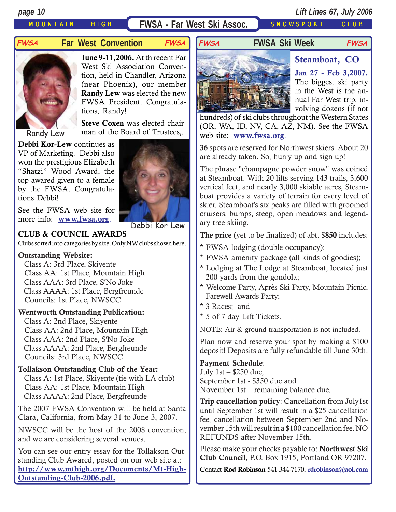# MOUNTAIN HIGH **FWSA - Far West Ski Assoc.** SNOWSPORT CLUB

# **Far West Convention FWSA FWSA FWSA Ski Week**



**June 9-11,2006.** At th recent Far West Ski Association Convention, held in Chandler, Arizona (near Phoenix), our member **Randy Lew** was elected the new FWSA President. Congratulations, Randy!

**Steve Coxen** was elected chairman of the Board of Trustees,.

**Debbi Kor-Lew** continues as VP of Marketing. Debbi also won the prestigious Elizabeth "Shatzi" Wood Award, the top awared given to a female by the FWSA. Congratulations Debbi!

See the FWSA web site for more info: **[www.fwsa.org](http://www.fwsa.org/)**.



**CLUB & COUNCIL AWARDS**

Clubs sorted into categories by size. Only NW clubs shown here.

### **Outstanding Website:**

 Class A: 3rd Place, Skiyente Class AA: 1st Place, Mountain High Class AAA: 3rd Place, S'No Joke Class AAAA: 1st Place, Bergfreunde Councils: 1st Place, NWSCC

## **Wentworth Outstanding Publication:**

 Class A: 2nd Place, Skiyente Class AA: 2nd Place, Mountain High Class AAA: 2nd Place, S'No Joke Class AAAA: 2nd Place, Bergfreunde Councils: 3rd Place, NWSCC

## **Tollakson Outstanding Club of the Year:**

 Class A: 1st Place, Skiyente (tie with LA club) Class AA: 1st Place, Mountain High Class AAAA: 2nd Place, Bergfreunde

The 2007 FWSA Convention will be held at Santa Clara, California, from May 31 to June 3, 2007.

NWSCC will be the host of the 2008 convention, and we are considering several venues.

You can see our entry essay for the Tollakson Outstanding Club Awared, posted on our web site at: **[http://www.mthigh.org/Documents/Mt-High-](http://www.mthigh.org/Documents/Mt-High-Outstanding-Club-2006.pdf)[Outstanding-Club-2006.pdf.](http://www.mthigh.org/Documents/Mt-High-Outstanding-Club-2006.pdf)**



**Jan 27 - Feb 3,2007.** The biggest ski party in the West is the annual Far West trip, involving dozens (if not

hundreds) of ski clubs throughout the Western States (OR, WA, ID, NV, CA, AZ, NM). See the FWSA web site: **[www.fwsa.org](http://www.fwsa.org/)**.

**FWSA FWSA**

**36** spots are reserved for Northwest skiers. About 20 are already taken. So, hurry up and sign up!

The phrase "champagne powder snow" was coined at Steamboat. With 20 lifts serving 143 trails, 3,600 vertical feet, and nearly 3,000 skiable acres, Steamboat provides a variety of terrain for every level of skier. Steamboat's six peaks are filled with groomed cruisers, bumps, steep, open meadows and legendary tree skiing.

**The price** (yet to be finalized) of abt. \$**850** includes:

- \* FWSA lodging (double occupancy);
- \* FWSA amenity package (all kinds of goodies);
- \* Lodging at The Lodge at Steamboat, located just 200 yards from the gondola;
- \* Welcome Party, Après Ski Party, Mountain Picnic, Farewell Awards Party;
- \* 3 Races; and
- \* 5 of 7 day Lift Tickets.

NOTE: Air & ground transportation is not included.

Plan now and reserve your spot by making a \$100 deposit! Deposits are fully refundable till June 30th.

**Payment Schedule**: July 1st – \$250 due, September 1st - \$350 due and November 1st – remaining balance due.

**Trip cancellation policy**: Cancellation from July1st until September 1st will result in a \$25 cancellation fee, cancellation between September 2nd and November 15th will result in a \$100 cancellation fee. NO REFUNDS after November 15th.

Please make your checks payable to: **Northwest Ski Club Council**, P.O. Box 1915, Portland OR 97207.

Contact **Rod Robinson** 541-344-7170, **[rdrobinson@aol.com](mailto:rdrobinson@aol.com)**

**Steamboat, CO**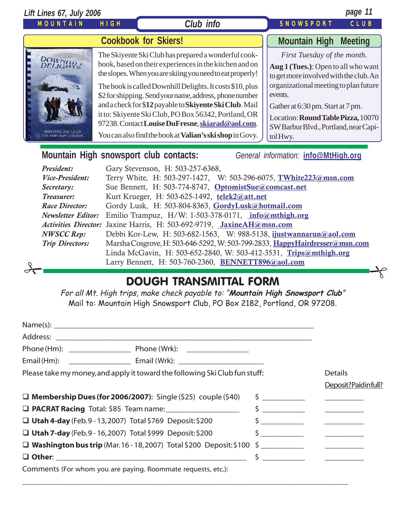| Lift Lines 67, July 2006                                                 |             |                                                                                                                                                                                                                                                                                                                                                                                                                                                                                                                                       | page 11                                                                                                                                                                                                                                                                                         |                |  |
|--------------------------------------------------------------------------|-------------|---------------------------------------------------------------------------------------------------------------------------------------------------------------------------------------------------------------------------------------------------------------------------------------------------------------------------------------------------------------------------------------------------------------------------------------------------------------------------------------------------------------------------------------|-------------------------------------------------------------------------------------------------------------------------------------------------------------------------------------------------------------------------------------------------------------------------------------------------|----------------|--|
| MOUNTAIN                                                                 | <b>HIGH</b> | Club info                                                                                                                                                                                                                                                                                                                                                                                                                                                                                                                             | <b>SNOWSPORT</b>                                                                                                                                                                                                                                                                                | CLUB           |  |
|                                                                          |             | <b>Cookbook for Skiers!</b>                                                                                                                                                                                                                                                                                                                                                                                                                                                                                                           | <b>Mountain High</b>                                                                                                                                                                                                                                                                            | <b>Meeting</b> |  |
| DOWNH44-<br><b>SKITTNTE SKI CLOB</b><br><b>DOth Anniversary Cookbook</b> |             | The Skiyente Ski Club has prepared a wonderful cook-<br>book, based on their experiences in the kitchen and on<br>the slopes. When you are skiing you need to eat properly!<br>The book is called Downhill Delights. It costs \$10, plus<br>\$2 for shipping. Send your name, address, phone number<br>and a check for \$12 payable to Skiyente Ski Club. Mail<br>it to: Skiyente Ski Club, PO Box 56342, Portland, OR<br>97238. Contact Louise DuFresne, skiarad@aol.com.<br>You can also find the book at Valian's skishop in Govy. | First Tuesday of the month.<br>Aug 1 (Tues.): Open to all who want<br>to get more involved with the club. An<br>organizational meeting to plan future<br>events.<br>Gather at 6:30 pm. Start at 7 pm.<br>Location: Round Table Pizza, 10070<br>SW Barbur Blvd., Portland, near Capi-<br>tolHwy. |                |  |

# **Mountain High snowsport club contacts:** *General information:* **[info@MtHigh.org](mailto:info@MtHigh.org)**

| President:             | Gary Stevenson, H: 503-257-6368,                                                      |  |  |
|------------------------|---------------------------------------------------------------------------------------|--|--|
| <b>Vice-President:</b> | Terry White, H: 503-297-1427, W: 503-296-6075, TWhite223@msn.com                      |  |  |
| Secretary:             | Sue Bennett, H: 503-774-8747, OptomistSue@comcast.net                                 |  |  |
| Treasurer:             | Kurt Krueger, H: 503-625-1492, telek2@att.net                                         |  |  |
| <b>Race Director:</b>  | Gordy Lusk, H: 503-804-8363, GordyLusk@hotmail.com                                    |  |  |
|                        | <i>Newsletter Editor:</i> Emilio Trampuz, H/W: 1-503-378-0171, <i>info@mthigh.org</i> |  |  |
|                        | Activities Director: Jaxine Harris, H: 503-692-9719, JaxineAH@msn.com                 |  |  |
| NWSCC Rep:             | Debbi Kor-Lew, H: 503-682-1563, W: 988-5138, ijustwannarun@aol.com                    |  |  |
| <b>Trip Directors:</b> | Marsha Cosgrove, H: 503-646-5292, W: 503-799-2833, HappyHairdresser@msn.com           |  |  |
|                        | Linda McGavin, H: 503-652-2840, W: 503-412-3531, Trips@mthigh.org                     |  |  |
|                        | Larry Bennett, H: 503-760-2360, BENNETT896@aol.com                                    |  |  |
|                        |                                                                                       |  |  |
|                        |                                                                                       |  |  |

# DOUGH TRANSMITTAL FORM

For all Mt. High trips, make check payable to: "**Mountain High Snowsport Club**" Mail to: Mountain High Snowsport Club, PO Box 2182, Portland, OR 97208.

| Please take my money, and apply it toward the following Ski Club fun stuff: |                                                                            |  | <b>Details</b>                                                                                                                                                                                                                                                                                                      |
|-----------------------------------------------------------------------------|----------------------------------------------------------------------------|--|---------------------------------------------------------------------------------------------------------------------------------------------------------------------------------------------------------------------------------------------------------------------------------------------------------------------|
|                                                                             |                                                                            |  | Deposit?Paidinfull?                                                                                                                                                                                                                                                                                                 |
| $\Box$ Membership Dues (for 2006/2007): Single (\$25) couple (\$40)         |                                                                            |  |                                                                                                                                                                                                                                                                                                                     |
|                                                                             | <b>Q PACRAT Racing</b> Total: \$85 Team name: _____________________        |  | $\frac{1}{2}$ $\frac{1}{2}$ $\frac{1}{2}$ $\frac{1}{2}$ $\frac{1}{2}$ $\frac{1}{2}$ $\frac{1}{2}$ $\frac{1}{2}$ $\frac{1}{2}$ $\frac{1}{2}$ $\frac{1}{2}$ $\frac{1}{2}$ $\frac{1}{2}$ $\frac{1}{2}$ $\frac{1}{2}$ $\frac{1}{2}$ $\frac{1}{2}$ $\frac{1}{2}$ $\frac{1}{2}$ $\frac{1}{2}$ $\frac{1}{2}$ $\frac{1}{2}$ |
| $\Box$ Utah 4-day (Feb. 9 - 13, 2007) Total \$769 Deposit: \$200            |                                                                            |  |                                                                                                                                                                                                                                                                                                                     |
| $\Box$ Utah 7-day (Feb. 9 - 16, 2007) Total \$999 Deposit: \$200            |                                                                            |  |                                                                                                                                                                                                                                                                                                                     |
|                                                                             | $\Box$ Washington bus trip (Mar. 16 - 18, 2007) Total \$200 Deposit: \$100 |  |                                                                                                                                                                                                                                                                                                                     |
|                                                                             |                                                                            |  | $\frac{1}{2}$ $\frac{1}{2}$ $\frac{1}{2}$ $\frac{1}{2}$ $\frac{1}{2}$ $\frac{1}{2}$ $\frac{1}{2}$ $\frac{1}{2}$ $\frac{1}{2}$ $\frac{1}{2}$ $\frac{1}{2}$ $\frac{1}{2}$ $\frac{1}{2}$ $\frac{1}{2}$ $\frac{1}{2}$ $\frac{1}{2}$ $\frac{1}{2}$ $\frac{1}{2}$ $\frac{1}{2}$ $\frac{1}{2}$ $\frac{1}{2}$ $\frac{1}{2}$ |
|                                                                             | Comments (For whom you are paying. Roommate requests, etc.):               |  |                                                                                                                                                                                                                                                                                                                     |

\_\_\_\_\_\_\_\_\_\_\_\_\_\_\_\_\_\_\_\_\_\_\_\_\_\_\_\_\_\_\_\_\_\_\_\_\_\_\_\_\_\_\_\_\_\_\_\_\_\_\_\_\_\_\_\_\_\_\_\_\_\_\_\_\_\_\_\_\_\_\_\_\_\_\_\_\_\_\_\_\_\_\_\_